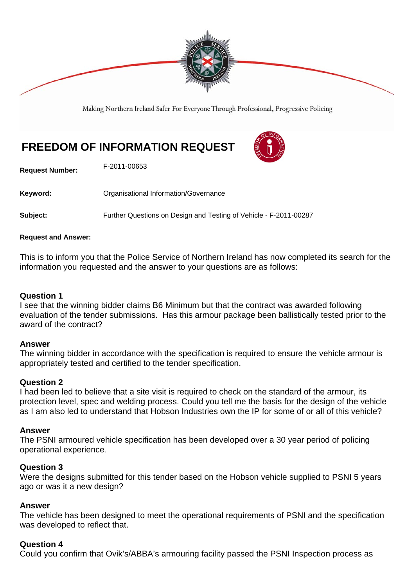

Making Northern Ireland Safer For Everyone Through Professional, Progressive Policing

# **FREEDOM OF INFORMATION REQUEST**



**Request Number:** F-2011-00653

Keyword: **Communisty Communists** Organisational Information/Governance

**Subject:** Further Questions on Design and Testing of Vehicle - F-2011-00287

#### **Request and Answer:**

This is to inform you that the Police Service of Northern Ireland has now completed its search for the information you requested and the answer to your questions are as follows:

# **Question 1**

I see that the winning bidder claims B6 Minimum but that the contract was awarded following evaluation of the tender submissions. Has this armour package been ballistically tested prior to the award of the contract?

#### **Answer**

The winning bidder in accordance with the specification is required to ensure the vehicle armour is appropriately tested and certified to the tender specification.

#### **Question 2**

I had been led to believe that a site visit is required to check on the standard of the armour, its protection level, spec and welding process. Could you tell me the basis for the design of the vehicle as I am also led to understand that Hobson Industries own the IP for some of or all of this vehicle?

#### **Answer**

The PSNI armoured vehicle specification has been developed over a 30 year period of policing operational experience.

#### **Question 3**

Were the designs submitted for this tender based on the Hobson vehicle supplied to PSNI 5 years ago or was it a new design?

#### **Answer**

The vehicle has been designed to meet the operational requirements of PSNI and the specification was developed to reflect that.

#### **Question 4**

Could you confirm that Ovik's/ABBA's armouring facility passed the PSNI Inspection process as